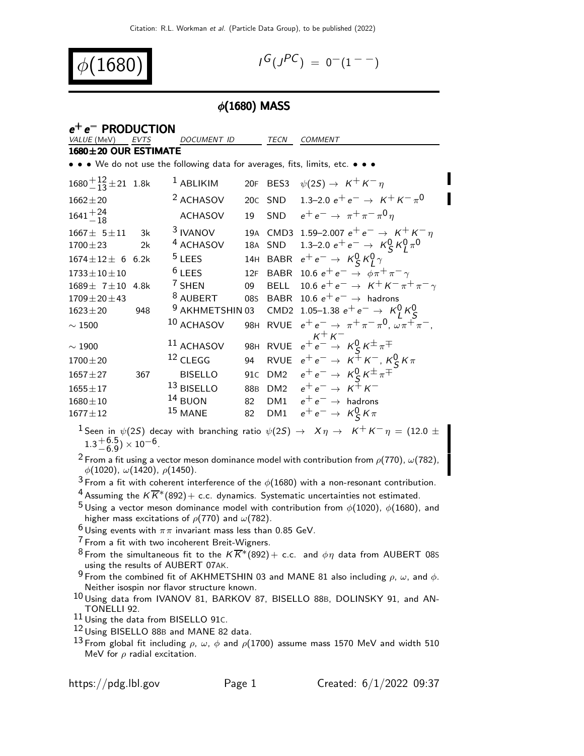$\phi(1680)$  is a set of  $\phi$ 

 $-$ 

$$
I^G(J^{PC}) = 0^-(1^{--})
$$

#### $\phi(1680)$  MASS

| $e^+e^-$ PRODUCTION                |      |                                                                                                                      |                 |                 |                                                                    |  |  |
|------------------------------------|------|----------------------------------------------------------------------------------------------------------------------|-----------------|-----------------|--------------------------------------------------------------------|--|--|
| VALUE (MeV)                        | EVTS | DOCUMENT ID                                                                                                          |                 | TECN            | <b>COMMENT</b>                                                     |  |  |
| $1680 \pm 20$ OUR ESTIMATE         |      |                                                                                                                      |                 |                 |                                                                    |  |  |
|                                    |      | $\bullet\,\bullet\,\bullet\,$ We do not use the following data for averages, fits, limits, etc. $\bullet\,\bullet\,$ |                 |                 |                                                                    |  |  |
| $1680 + \frac{12}{13} \pm 21$ 1.8k |      | $1$ ABLIKIM                                                                                                          |                 | 20F BES3        | $\psi(2S) \rightarrow K^+ K^- \eta$                                |  |  |
| $1662 \pm 20$                      |      | <sup>2</sup> ACHASOV                                                                                                 |                 | 20C SND         | 1.3–2.0 $e^+e^- \rightarrow K^+K^-\pi^0$                           |  |  |
| $1641 + \frac{24}{18}$             |      | <b>ACHASOV</b>                                                                                                       |                 | 19 SND          | $e^+e^- \rightarrow \pi^+\pi^-\pi^0\eta$                           |  |  |
| $1667 \pm 5 \pm 11$                | - 3k | <sup>3</sup> IVANOV                                                                                                  |                 |                 | 19A CMD3 1.59-2.007 $e^+e^- \rightarrow K^+K^-\eta$                |  |  |
| $1700 \pm 23$                      | 2k   | <sup>4</sup> ACHASOV                                                                                                 |                 | 18A SND         | 1.3–2.0 $e^+e^- \rightarrow K_S^0 K_I^0 \pi^0$                     |  |  |
| $1674 \pm 12 \pm 6$ 6.2k           |      | $5$ LEES                                                                                                             |                 |                 | 14H BABR $e^+e^- \rightarrow K_S^0 K_I^0 \gamma$                   |  |  |
| $1733 \pm 10 \pm 10$               |      | $6$ LEES                                                                                                             | 12F             | <b>BABR</b>     | 10.6 $e^+e^- \rightarrow \phi \pi^+ \pi^- \gamma$                  |  |  |
| $1689 \pm 7 \pm 10$                | 4.8k | $7$ SHEN                                                                                                             | 09              | <b>BELL</b>     | 10.6 $e^+e^- \rightarrow K^+K^-\pi^+\pi^-\gamma$                   |  |  |
| $1709 \pm 20 \pm 43$               |      | <sup>8</sup> AUBERT                                                                                                  |                 |                 | 085 BABR 10.6 $e^+e^- \rightarrow$ hadrons                         |  |  |
| $1623 \pm 20$                      | 948  | <sup>9</sup> AKHMETSHIN 03                                                                                           |                 |                 | CMD2 1.05-1.38 $e^+e^- \rightarrow K_I^0 K_S^0$                    |  |  |
| $\sim 1500$                        |      | $^{10}$ ACHASOV                                                                                                      |                 |                 | 98H RVUE $e^+e^- \to \pi^+\pi^-\pi^0$ , $\omega\pi^+\pi^-$ ,       |  |  |
| $\sim$ 1900                        |      | $11$ ACHASOV                                                                                                         |                 |                 | $K^+ K^-$<br>98H RVUE $e^+e^- \rightarrow K_S^0 K^{\pm} \pi^{\mp}$ |  |  |
| $1700 \pm 20$                      |      | $12$ CLEGG                                                                                                           | 94              |                 | RVUE $e^+e^- \rightarrow K^+K^-$ , $K_S^0K\pi$                     |  |  |
| $1657 + 27$                        | 367  | <b>BISELLO</b>                                                                                                       | 91 <sub>C</sub> | DM <sub>2</sub> | $e^+e^- \rightarrow K^0_S K^{\pm} \pi^{\mp}$                       |  |  |
| $1655 \pm 17$                      |      | $13$ BISELLO                                                                                                         |                 |                 | 88B DM2 $e^+e^- \to K^+K^-$                                        |  |  |
| $1680 \pm 10$                      |      | $14$ BUON                                                                                                            | 82              |                 | DM1 $e^+e^- \rightarrow$ hadrons                                   |  |  |
| $1677 \pm 12$                      |      | $15$ MANE                                                                                                            | 82              | DM1             | $e^+e^- \rightarrow K_S^0 K \pi$                                   |  |  |

<sup>1</sup> Seen in  $\psi(2S)$  decay with branching ratio  $\psi(2S) \rightarrow X \eta \rightarrow K^+ K^- \eta = (12.0 \pm 1)$  $1.3 + 6.5$  $^{+6.5}_{-6.9}$ )  $\times$  10 $^{-6}$ .

<sup>2</sup> From a fit using a vector meson dominance model with contribution from  $ρ(770)$ ,  $ω(782)$ ,  $\phi(1020)$ ,  $\omega(1420)$ ,  $\rho(1450)$ .

 $3$  From a fit with coherent interference of the  $\phi(1680)$  with a non-resonant contribution.

<sup>4</sup> Assuming the  $K\overline{K}^*(892)$  + c.c. dynamics. Systematic uncertainties not estimated.

<sup>5</sup> Using a vector meson dominance model with contribution from  $\phi(1020)$ ,  $\phi(1680)$ , and higher mass excitations of  $\rho(770)$  and  $\omega(782)$ .

 $6$  Using events with  $\pi\pi$  invariant mass less than 0.85 GeV.

- $7$  From a fit with two incoherent Breit-Wigners.
- <sup>8</sup> From the simultaneous fit to the  $K \overline{K}^*(892) +$  c.c. and  $\phi \eta$  data from AUBERT 08S using the results of AUBERT 07AK.

<sup>9</sup> From the combined fit of AKHMETSHIN 03 and MANE 81 also including  $\rho$ ,  $\omega$ , and  $\phi$ . Neither isospin nor flavor structure known.

10 Using data from IVANOV 81, BARKOV 87, BISELLO 88B, DOLINSKY 91, and AN-TONELLI 92.

11 Using the data from BISELLO 91c.

- 12 Using BISELLO 88B and MANE 82 data.
- <sup>13</sup> From global fit including  $ρ$ , ω, φ and  $ρ$ (1700) assume mass 1570 MeV and width 510 MeV for  $\rho$  radial excitation.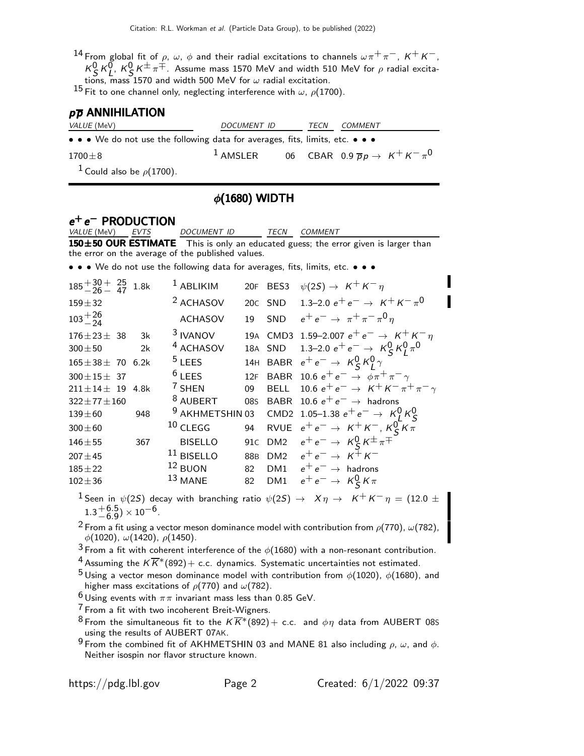14 From global fit of  $\rho$ ,  $\omega$ ,  $\phi$  and their radial excitations to channels  $\omega \pi^+ \pi^-$ ,  $K^+ K^-$ ,  $K_S^0$   $K_L^0$ ,  $K_S^0$   $K^{\pm}$   $\pi^{\mp}$ . Assume mass 1570 MeV and width 510 MeV for  $\rho$  radial excitations, mass 1570 and width 500 MeV for  $\omega$  radial excitation.

15 Fit to one channel only, neglecting interference with  $\omega$ ,  $\rho$ (1700).

#### $p\overline{p}$  ANNIHILATION

| <i>VALUE</i> (MeV)                                                                                                    | DOCUMENT ID                                                             | TECN | COMMENT |  |
|-----------------------------------------------------------------------------------------------------------------------|-------------------------------------------------------------------------|------|---------|--|
| $\bullet \bullet \bullet$ We do not use the following data for averages, fits, limits, etc. $\bullet \bullet \bullet$ |                                                                         |      |         |  |
| $1700\pm8$                                                                                                            | <sup>1</sup> AMSLER 06 CBAR 0.9 $\overline{p}p \rightarrow K^+K^-\pi^0$ |      |         |  |
| <sup>1</sup> Could also be $\rho$ (1700).                                                                             |                                                                         |      |         |  |

#### $\phi$ (1680) WIDTH

## e<sup>+</sup> e<sup>−</sup> PRODUCTION

VALUE (MeV) EVTS DOCUMENT ID TECN COMMENT

150±50 OUR ESTIMATE This is only an educated guess; the error given is larger than the error on the average of the published values.

• • • We do not use the following data for averages, fits, limits, etc. • • •

| $185 + \frac{30}{26} + \frac{25}{47}$ 1.8k |       | $1$ ABLIKIM          |     | 20F BES3    | $\psi(2S) \rightarrow K^+ K^- \eta$                             |
|--------------------------------------------|-------|----------------------|-----|-------------|-----------------------------------------------------------------|
| $159 + 32$                                 |       | <sup>2</sup> ACHASOV |     | 20C SND     | 1.3–2.0 $e^+e^- \rightarrow K^+K^-\pi^0$                        |
| $103 + \frac{26}{24}$                      |       | <b>ACHASOV</b>       | 19  | SND         | $e^+e^- \rightarrow \pi^+\pi^-\pi^0\eta$                        |
| $176 \pm 23 \pm 38$                        | $-3k$ | <sup>3</sup> IVANOV  |     |             | 19A CMD3 1.59-2.007 $e^+e^- \rightarrow K^+K^-\eta$             |
| $300 + 50$                                 | 2k    | <sup>4</sup> ACHASOV |     | 18A SND     | 1.3–2.0 $e^+e^- \rightarrow K_S^0 K_I^0 \pi^0$                  |
| $165 \pm 38 \pm 70$ 6.2k                   |       | $5$ LEES             |     |             | 14H BABR $e^+e^- \rightarrow K_S^0 K_I^0 \gamma$                |
| $300 \pm 15 \pm 37$                        |       | $6$ LEES             | 12F |             | BABR 10.6 $e^+e^- \rightarrow \phi \pi^+ \pi^- \gamma$          |
| $211 \pm 14 \pm 19$ 4.8k                   |       | $7$ SHEN             | 09  | <b>BELL</b> | 10.6 $e^+e^- \rightarrow K^+K^-\pi^+\pi^-\gamma$                |
| $322 \pm 77 \pm 160$                       |       | <sup>8</sup> AUBERT  |     |             | 085 BABR 10.6 $e^+e^- \rightarrow$ hadrons                      |
| $139 + 60$                                 | 948   |                      |     |             | 9 AKHMETSHIN 03 CMD2 1.05-1.38 $e^+e^- \rightarrow K_1^0 K_5^0$ |
| $300 \pm 60$                               |       | $10$ CLEGG           | 94  |             | RVUE $e^+e^- \rightarrow K^+K^-$ , $K_S^0K\pi$                  |
| $146 + 55$                                 | 367   | <b>BISELLO</b>       |     | 91c DM2     | $e^+e^- \rightarrow K_S^0 K^{\pm} \pi^{\mp}$                    |
| $207 + 45$                                 |       | $11$ BISELLO         | 88B |             | DM2 $e^+e^- \rightarrow K^+K^-$                                 |
| $185 \pm 22$                               |       | $12$ BUON            | 82  |             | DM1 $e^+e^- \rightarrow$ hadrons                                |
| $102 \pm 36$                               |       | $13$ MANE            | 82  | DM1         | $e^+e^- \rightarrow K^0_S K \pi$                                |

 $^1$  Seen in  $\psi(2S)$  decay with branching ratio  $\psi(2S) \rightarrow~X\eta \rightarrow~K^+K^-\eta=(12.0\pm 1)$  $1.3 + 6.5$  $^{+6.5}_{-6.9}$ )  $\times$  10 $^{-6}$ .

<sup>2</sup> From a fit using a vector meson dominance model with contribution from  $\rho(770)$ ,  $\omega(782)$ ,  $\phi(1020), \omega(1420), \rho(1450).$ 

 $3$  From a fit with coherent interference of the  $\phi(1680)$  with a non-resonant contribution.

<sup>4</sup> Assuming the  $K\overline{K}^*(892)$  + c.c. dynamics. Systematic uncertainties not estimated.

<sup>5</sup> Using a vector meson dominance model with contribution from  $\phi(1020)$ ,  $\phi(1680)$ , and higher mass excitations of  $\rho(770)$  and  $\omega(782)$ .

 $^6$  Using events with  $\pi\pi$  invariant mass less than 0.85 GeV.

<sup>7</sup> From a fit with two incoherent Breit-Wigners.

- $8$  From the simultaneous fit to the  $K\overline{K}^*(892)+$  c.c. and  $\phi\eta$  data from AUBERT 08S using the results of AUBERT 07AK.
- <sup>9</sup> From the combined fit of AKHMETSHIN 03 and MANE 81 also including  $\rho$ ,  $\omega$ , and  $\phi$ . Neither isospin nor flavor structure known.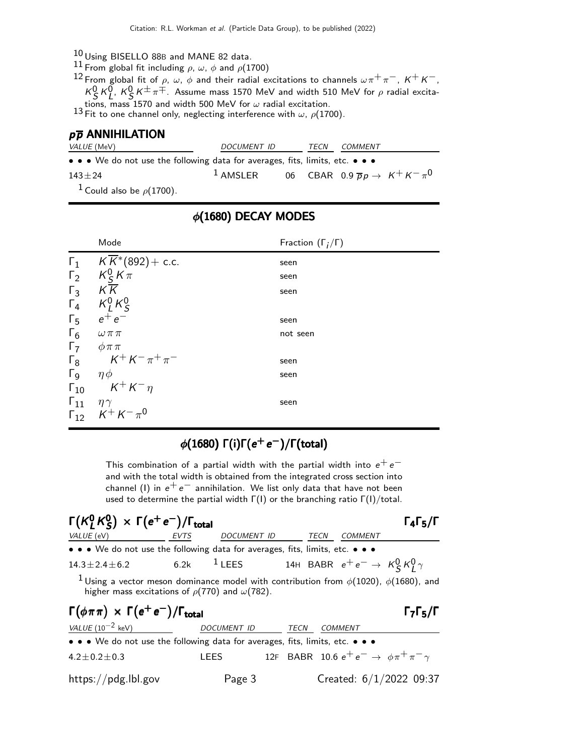- 10 Using BISELLO 88<sup>B</sup> and MANE 82 data.
- 11 From global fit including  $\rho$ ,  $\omega$ ,  $\phi$  and  $\rho$ (1700)

 $^{12}$  From global fit of  $\rho$ ,  $\omega$ ,  $\phi$  and their radial excitations to channels  $\omega \, \pi^+ \, \pi^-$ , K $^+$  K $^-$ ,  $K_S^0$   $K_L^0$ ,  $K_S^0$   $K^{\pm}$   $\pi^{\mp}$ . Assume mass 1570 MeV and width 510 MeV for  $\rho$  radial excitations, mass 1570 and width 500 MeV for  $\omega$  radial excitation.<br><sup>13</sup> Fit to one channel only, neglecting interference with  $\omega$ ,  $\rho$ (1700).

#### $p\overline{p}$  ANNIHILATION

| <i>VALUE</i> (MeV)                                                            | DOCUMENT ID                                                             | TECN | <i>COMMENT</i> |  |
|-------------------------------------------------------------------------------|-------------------------------------------------------------------------|------|----------------|--|
| • • • We do not use the following data for averages, fits, limits, etc. • • • |                                                                         |      |                |  |
| $143 + 24$                                                                    | <sup>1</sup> AMSLER 06 CBAR 0.9 $\overline{p}p \rightarrow K^+K^-\pi^0$ |      |                |  |
| <sup>1</sup> Could also be $\rho$ (1700).                                     |                                                                         |      |                |  |

#### Mode Fraction  $(\Gamma_j/\Gamma)$  $\mathsf{F}_1$   $\mathsf{K}\overline{\mathsf{K}}^*(892) + \text{c.c.}$  seen  $\frac{1}{\Gamma_2}$   $\frac{1}{\sqrt{K}}$ <br> $\frac{1}{\Gamma_3}$   $\frac{1}{\sqrt{K}}$ 0 S  $K \pi$  seen  $\Gamma_3$  KK seen  $\mathsf{\Gamma}_4$   $\mathsf{K}_L^0$  $^0_L$  K $^0_S$ S  $\frac{\Gamma_5}{\Gamma_6}$  $e^+ e^-$ −<br>− seen  $\Gamma_6$   $\omega \pi \pi$  not seen  $Γ_7$   $φππ$ <br> $Γ_8$   $K<sup>+</sup>$  $Γ_8$   $K^+ K^- \pi^+ \pi$ −<br>− seen Γ9  $ηφ$  seen  $\Gamma_{10}$   $K^+ K^- \eta$  $\Gamma_{11}$   $\eta \gamma$  seen  $\Gamma_{12}^{\text{+}}$  K<sup>+</sup> K<sup>-</sup> π<sup>0</sup>

### $\phi(1680)$  DECAY MODES

## φ(1680) Γ(i)Γ( $e^+e^-$ )/Γ(total)

This combination of a partial width with the partial width into  $e^+e^$ and with the total width is obtained from the integrated cross section into channel (I) in  $e^+e^-$  annihilation. We list only data that have not been used to determine the partial width  $\Gamma(1)$  or the branching ratio  $\Gamma(1)/\text{total}$ .

| $\Gamma(K_1^0 K_5^0) \times \Gamma(e^+ e^-)/\Gamma_{\text{total}}$                                                                                                       |             |             |      |             |                                                                    | $\Gamma_4\Gamma_5/\Gamma$ |
|--------------------------------------------------------------------------------------------------------------------------------------------------------------------------|-------------|-------------|------|-------------|--------------------------------------------------------------------|---------------------------|
| VALUE (eV)                                                                                                                                                               | <b>EVTS</b> | DOCUMENT ID |      | <b>TECN</b> | <b>COMMENT</b>                                                     |                           |
| • • • We do not use the following data for averages, fits, limits, etc. • • •                                                                                            |             |             |      |             |                                                                    |                           |
| $14.3 \pm 2.4 \pm 6.2$                                                                                                                                                   | 6.2k        |             |      |             | <sup>1</sup> LEES 14H BABR $e^+e^- \rightarrow K_S^0 K_I^0 \gamma$ |                           |
| <sup>1</sup> Using a vector meson dominance model with contribution from $\phi(1020)$ , $\phi(1680)$ , and<br>higher mass excitations of $\rho(770)$ and $\omega(782)$ . |             |             |      |             |                                                                    |                           |
| $\Gamma(\phi \pi \pi) \times \Gamma(e^+ e^-)/\Gamma_{\text{total}}$                                                                                                      |             |             |      |             |                                                                    | $\Gamma_7\Gamma_5/\Gamma$ |
| $VALUE(10^{-2} \text{ keV})$                                                                                                                                             |             | DOCUMENT ID | TECN |             | COMMENT                                                            |                           |
| • • • We do not use the following data for averages, fits, limits, etc. • • •                                                                                            |             |             |      |             |                                                                    |                           |
| $4.2 \pm 0.2 \pm 0.3$                                                                                                                                                    |             | LEES        |      |             | 12F BABR 10.6 $e^+e^- \to \phi \pi^+ \pi^- \gamma$                 |                           |
| https://pdg.lbl.gov                                                                                                                                                      |             | Page 3      |      |             |                                                                    | Created: 6/1/2022 09:37   |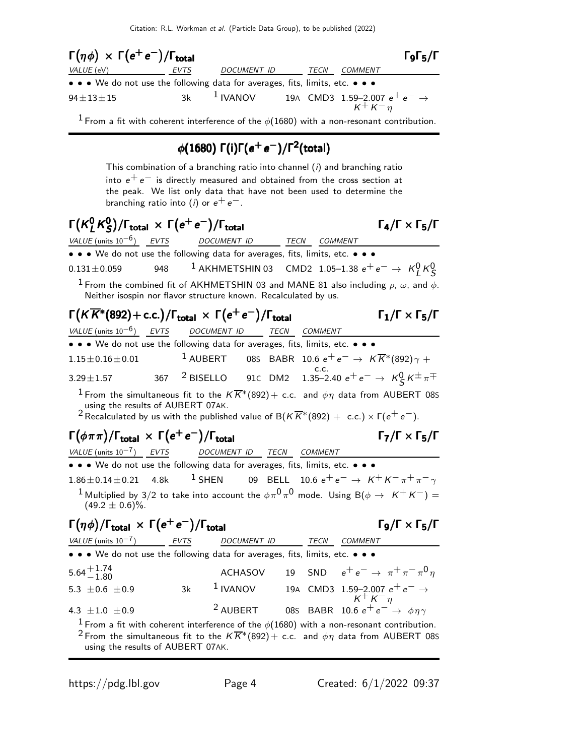

<sup>1</sup> From a fit with coherent interference of the  $\phi(1680)$  with a non-resonant contribution.

# φ(1680) Γ(i)Γ( $e^+e^-$ )/Γ $^2$ (total)

This combination of a branching ratio into channel  $(i)$  and branching ratio into  $e^+ e^-$  is directly measured and obtained from the cross section at the peak. We list only data that have not been used to determine the branching ratio into (*i*) or  $e^+e^-$ .

#### $\mathsf{\Gamma}(\mathsf{K}^0_I$  $^0_\mathsf{L}$ K $^0_\mathsf{S}$ Γ(K<sup>0</sup> K<sup>0</sup>S)/Γ<sub>total</sub> × Γ(e<sup>+</sup> e<sup>-</sup>)/Γ<sub>total</sub> Γ<sub>4</sub>/Γ × Γ<sub>5</sub>/Γ

VALUE (units 10<sup>-6</sup>) EVTS DOCUMENT ID TECN COMMENT • • • We do not use the following data for averages, fits, limits, etc. • • •  $0.131\pm0.059$  948  $^1$  AKHMETSHIN 03 CMD2 1.05–1.38  $e^+$   $e^-\rightarrow~$   $\kappa^0_L$   $\kappa^0_S$ 

<sup>1</sup> From the combined fit of AKHMETSHIN 03 and MANE 81 also including  $\rho$ ,  $\omega$ , and  $\phi$ . Neither isospin nor flavor structure known. Recalculated by us.

# Γ $(K\overline{K}^*(892)+$  c.c.)/Γ<sub>total</sub>  $\times \; \Gamma(e^+e^-)/\Gamma_{\text{total}}$  Γ $_1$ /Γ $\times$  Γ $_5$ /Γ

| VALUE (units $10^{-6}$ ) EVTS DOCUMENT ID TECN                                |  |  | COMMENT                                                                                      |
|-------------------------------------------------------------------------------|--|--|----------------------------------------------------------------------------------------------|
| • • • We do not use the following data for averages, fits, limits, etc. • • • |  |  |                                                                                              |
| $1.15\pm0.16\pm0.01$                                                          |  |  | <sup>1</sup> AUBERT 085 BABR 10.6 $e^+e^- \rightarrow K\overline{K}^*(892)\gamma +$          |
| $3.29 \pm 1.57$                                                               |  |  | 367 <sup>2</sup> BISELLO 91c DM2 1.35–2.40 $e^+e^- \to K_S^0 K^{\pm} \pi^{\mp}$              |
|                                                                               |  |  | I From the simultaneous fit to the $V\overline{V}^*(000)$ is a good for data from AUDEDT 000 |

From the simultaneous fit to the  $KK^*(892) +$  c.c. and  $\phi\eta$  data from AUBERT 08S using the results of AUBERT 07AK.

<sup>2</sup> Recalculated by us with the published value of B( $K\overline{K}$ \*(892) + c.c.) × Γ( $e^+e^-$ ).

# $\Gamma(\phi \pi \pi)/\Gamma_{\text{total}} \, \times \, \Gamma(e^+ \, e^-)/\Gamma_{\text{total}}$  Γ<sub>7</sub>/Γ  $\times$  Γ<sub>5</sub>/Γ

VALUE (units  $10^{-7}$ ) EVTS DOCUMENT ID TECN COMMENT • • • We do not use the following data for averages, fits, limits, etc. • • •  $1.86 \pm 0.14 \pm 0.21$  4.8k <sup>1</sup> SHEN 09 BELL 10.6  $e^+e^- \rightarrow K^+K^-\pi^+\pi^-\gamma$  $^1$ Multiplied by 3/2 to take into account the  $\phi \pi^0 \pi^0$  mode. Using B( $\phi \rightarrow ~~K^+ \, K^-)=$  $(49.2 \pm 0.6)\%$ .  $\Gamma$ ο/Γ  $\times$  Γ<sub>5</sub>/Γ

| $\Gamma(\eta \phi)/\Gamma_{\text{total}} \times \Gamma(e^+e^-)/\Gamma_{\text{total}}$                                                             | $\Gamma_9/\Gamma \times \Gamma_5/\Gamma$ |          |     |                                             |            |                                       |
|---------------------------------------------------------------------------------------------------------------------------------------------------|------------------------------------------|----------|-----|---------------------------------------------|------------|---------------------------------------|
| $\frac{VALUE \text{ (units } 10^{-7})}{\bullet \bullet \bullet \bullet \text{ We do not use the following data for averages, fits, limits, etc.}$ | $\bullet \bullet \bullet$                |          |     |                                             |            |                                       |
| $5.64 + 1.74$                                                                                                                                     | ACHASOV                                  | 19       | SND | $e^+e^- \rightarrow \pi^+ \pi^- \pi^0 \eta$ |            |                                       |
| $5.3 \pm 0.6 \pm 0.9$                                                                                                                             | 3k                                       | 1 IVANOV | 19A | CMD3                                        | 1.59–2.007 | $e^+e^- \rightarrow$                  |
| $K^+K^- \eta$                                                                                                                                     | 4.3 ±1.0 ±0.9                            | 2 AUBERT | 085 | BABR                                        | 10.6       | $e^+e^- \rightarrow \phi \eta \gamma$ |

<sup>1</sup> From a fit with coherent interference of the  $\phi(1680)$  with a non-resonant contribution. <sup>2</sup> From the simultaneous fit to the  $K\overline{K}^*(892)+$  c.c. and  $\phi\eta$  data from AUBERT 08S using the results of AUBERT 07AK.

 $\Gamma_7/\Gamma \times \Gamma_5/\Gamma$ 

 $\Gamma_4/\Gamma \times \Gamma_5/\Gamma$ 

 $\Gamma_1/\Gamma \times \Gamma_5/\Gamma$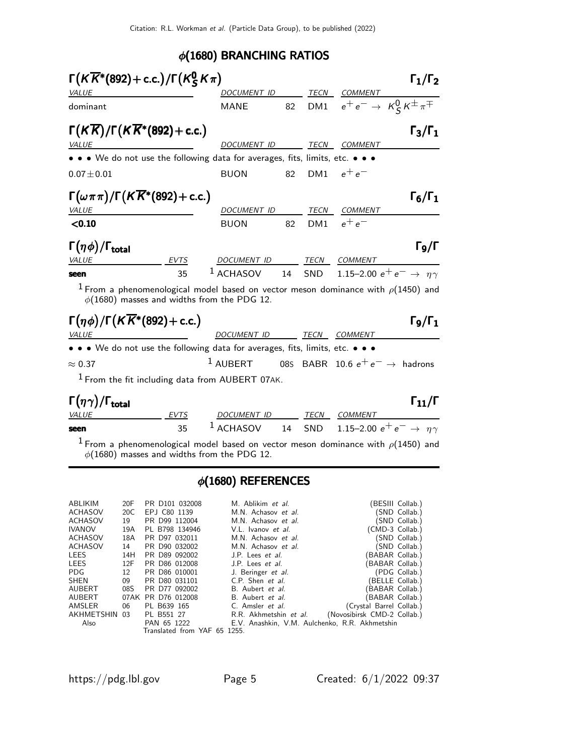### φ(1680) BRANCHING RATIOS

| $\Gamma(K\overline{K}^*(892)+c.c.)/\Gamma(K^0_S\overline{K\pi})$              |             |                                                                                                                                             |    |                 |                                                     | $\Gamma_1/\Gamma_2$                            |
|-------------------------------------------------------------------------------|-------------|---------------------------------------------------------------------------------------------------------------------------------------------|----|-----------------|-----------------------------------------------------|------------------------------------------------|
| <b>VALUE</b>                                                                  |             | DOCUMENT ID                                                                                                                                 |    |                 | TECN COMMENT                                        |                                                |
| dominant                                                                      |             | MANE                                                                                                                                        |    |                 | 82 DM1 $e^+e^- \rightarrow K_S^0 K^{\pm} \pi^{\mp}$ |                                                |
| $\Gamma(K\overline{K})/\Gamma(K\overline{K}^*(892)+c.c.)$                     |             |                                                                                                                                             |    |                 |                                                     | $\Gamma_3/\Gamma_1$                            |
| <i>VALUE</i>                                                                  |             | DO <u>CUMENT ID</u>                                                                                                                         |    |                 | TECN COMMENT                                        |                                                |
| • • • We do not use the following data for averages, fits, limits, etc. • • • |             |                                                                                                                                             |    |                 |                                                     |                                                |
| $0.07 + 0.01$                                                                 |             | <b>BUON</b>                                                                                                                                 | 82 | DM <sub>1</sub> | $e^+e^-$                                            |                                                |
| $\Gamma(\omega \pi \pi)/\Gamma(K\overline{K}^*(892)+c.c.)$                    |             |                                                                                                                                             |    |                 |                                                     | $\Gamma_6/\Gamma_1$                            |
| <b>VALUE</b>                                                                  |             | <i>DOCUMENT ID</i>                                                                                                                          |    | TECN            | <b>COMMENT</b>                                      |                                                |
| < 0.10                                                                        |             | <b>BUON</b>                                                                                                                                 | 82 | DM <sub>1</sub> | $e^+e^-$                                            |                                                |
| $\Gamma(\eta\phi)/\Gamma_{\rm total}$                                         |             |                                                                                                                                             |    |                 |                                                     | $\Gamma$ 9/Г                                   |
| <i>VALUE</i>                                                                  | EVTS        | DOCUMENT ID TECN COMMENT                                                                                                                    |    |                 |                                                     |                                                |
| seen                                                                          | 35          | $1$ ACHASOV $14$                                                                                                                            |    |                 |                                                     | SND 1.15-2.00 $e^+e^- \rightarrow \eta \gamma$ |
|                                                                               |             | $^1$ From a phenomenological model based on vector meson dominance with $\rho(1450)$ and<br>$\phi(1680)$ masses and widths from the PDG 12. |    |                 |                                                     |                                                |
| $\Gamma(\eta \phi)/\Gamma(K\overline{K}^*(892)+c.c.)$                         |             |                                                                                                                                             |    |                 |                                                     | $\Gamma$ 9/Г $_1$                              |
| <i>VALUE</i>                                                                  |             | DOCUMENT ID                                                                                                                                 |    | <b>TECN</b>     | <b>COMMENT</b>                                      |                                                |
| • • • We do not use the following data for averages, fits, limits, etc. • • • |             |                                                                                                                                             |    |                 |                                                     |                                                |
| $\approx 0.37$                                                                |             | <sup>1</sup> AUBERT 085 BABR 10.6 $e^+e^- \rightarrow$ hadrons                                                                              |    |                 |                                                     |                                                |
|                                                                               |             | <sup>1</sup> From the fit including data from AUBERT 07AK.                                                                                  |    |                 |                                                     |                                                |
| $\Gamma(\eta\gamma)/\Gamma_{\rm total}$                                       |             |                                                                                                                                             |    |                 |                                                     | $\Gamma_{11}/\Gamma$                           |
| <i>VALUE</i>                                                                  | <b>EVTS</b> | DOCUMENT ID                                                                                                                                 |    |                 | TECN COMMENT                                        |                                                |
| seen                                                                          | 35          | $^1$ ACHASOV                                                                                                                                | 14 | SND             |                                                     | 1.15-2.00 $e^+e^- \rightarrow \eta \gamma$     |

<sup>1</sup> From a phenomenological model based on vector meson dominance with  $\rho$ (1450) and  $\phi(1680)$  masses and widths from the PDG 12.

## $\phi$ (1680) REFERENCES

| ABLIKIM        | 20F | PR D101 032008               | M. Ablikim et al.                              |                             | (BESIII Collab.) |
|----------------|-----|------------------------------|------------------------------------------------|-----------------------------|------------------|
| ACHASOV        | 20C | EPJ C80 1139                 | M.N. Achasov et al.                            |                             | (SND Collab.)    |
| ACHASOV        | 19  | PR D99 112004                | M.N. Achasov et al.                            |                             | (SND Collab.)    |
| <b>IVANOV</b>  | 19A | PL B798 134946               | V.L. Ivanov et al.                             | (CMD-3 Collab.)             |                  |
| <b>ACHASOV</b> | 18A | PR D97 032011                | M.N. Achasov et al.                            |                             | (SND Collab.)    |
| ACHASOV        | 14  | PR D90 032002                | M.N. Achasov et al.                            |                             | (SND Collab.)    |
| <b>LEES</b>    | 14H | PR D89 092002                | J.P. Lees et al.                               | (BABAR Collab.)             |                  |
| LEES           | 12F | PR D86 012008                | J.P. Lees <i>et al.</i>                        | (BABAR Collab.)             |                  |
| PDG.           | 12  | PR D86 010001                | J. Beringer et al.                             |                             | (PDG Collab.)    |
| SHEN           | 09  | PR D80 031101                | C.P. Shen et al.                               | (BELLE Collab.)             |                  |
| AUBERT         | 08S | PR D77 092002                | B. Aubert et al.                               | (BABAR Collab.)             |                  |
| AUBERT         |     | 07AK PR D76 012008           | B. Aubert et al.                               | (BABAR Collab.)             |                  |
| AMSLER         | 06  | PL B639 165                  | C. Amsler <i>et al.</i>                        | (Crystal Barrel Collab.)    |                  |
| AKHMETSHIN 03  |     | PL B551 27                   | R.R. Akhmetshin et al.                         | (Novosibirsk CMD-2 Collab.) |                  |
| Also           |     | PAN 65 1222                  | E.V. Anashkin, V.M. Aulchenko, R.R. Akhmetshin |                             |                  |
|                |     | Translated from YAF 65 1255. |                                                |                             |                  |